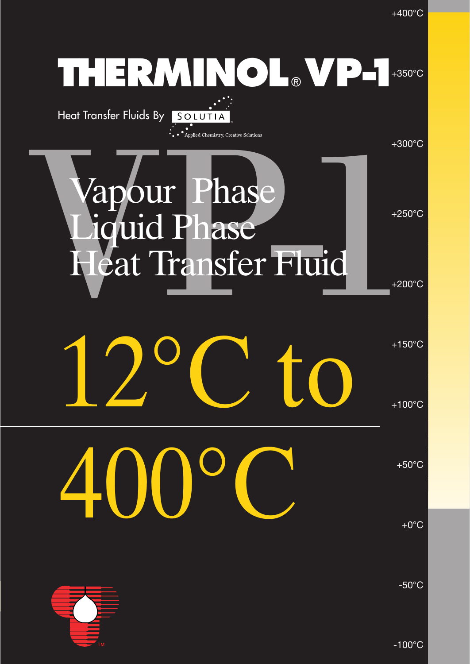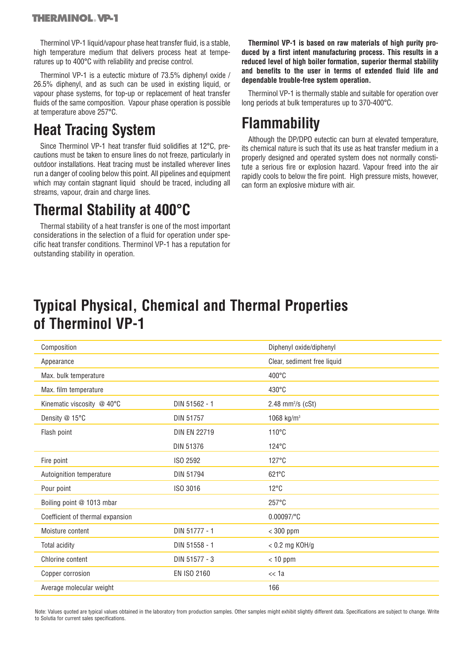Therminol VP-1 liquid/vapour phase heat transfer fluid, is a stable, high temperature medium that delivers process heat at temperatures up to 400°C with reliability and precise control.

Therminol VP-1 is a eutectic mixture of 73.5% diphenyl oxide / 26.5% diphenyl, and as such can be used in existing liquid, or vapour phase systems, for top-up or replacement of heat transfer fluids of the same composition. Vapour phase operation is possible at temperature above 257°C.

# **Heat Tracing System**

Since Therminol VP-1 heat transfer fluid solidifies at 12°C, precautions must be taken to ensure lines do not freeze, particularly in outdoor installations. Heat tracing must be installed wherever lines run a danger of cooling below this point. All pipelines and equipment which may contain stagnant liquid should be traced, including all streams, vapour, drain and charge lines.

# **Thermal Stability at 400°C**

Thermal stability of a heat transfer is one of the most important considerations in the selection of a fluid for operation under specific heat transfer conditions. Therminol VP-1 has a reputation for outstanding stability in operation.

**Therminol VP-1 is based on raw materials of high purity produced by a first intent manufacturing process. This results in a reduced level of high boiler formation, superior thermal stability and benefits to the user in terms of extended fluid life and dependable trouble-free system operation.**

Therminol VP-1 is thermally stable and suitable for operation over long periods at bulk temperatures up to 370-400°C.

### **Flammability**

Although the DP/DPO eutectic can burn at elevated temperature, its chemical nature is such that its use as heat transfer medium in a properly designed and operated system does not normally constitute a serious fire or explosion hazard. Vapour freed into the air rapidly cools to below the fire point. High pressure mists, however, can form an explosive mixture with air.

# **Typical Physical, Chemical and Thermal Properties of Therminol VP-1**

| Composition                                 |                     | Diphenyl oxide/diphenyl     |  |  |
|---------------------------------------------|---------------------|-----------------------------|--|--|
| Appearance                                  |                     | Clear, sediment free liquid |  |  |
| Max. bulk temperature                       |                     | 400°C                       |  |  |
| Max. film temperature                       |                     | 430°C                       |  |  |
| DIN 51562 - 1<br>Kinematic viscosity @ 40°C |                     | 2.48 mm $^{2}/s$ (cSt)      |  |  |
| Density @ 15°C                              | DIN 51757           | 1068 kg/m <sup>3</sup>      |  |  |
| Flash point                                 | <b>DIN EN 22719</b> | 110°C                       |  |  |
|                                             | <b>DIN 51376</b>    | $124^{\circ}$ C             |  |  |
| Fire point                                  | ISO 2592            | $127^{\circ}$ C             |  |  |
| Autoignition temperature                    | DIN 51794           | 621°C                       |  |  |
| Pour point                                  | ISO 3016            | $12^{\circ}$ C              |  |  |
| Boiling point @ 1013 mbar                   |                     | 257°C                       |  |  |
| Coefficient of thermal expansion            |                     | 0.00097/°C                  |  |  |
| Moisture content                            | DIN 51777 - 1       | $<$ 300 ppm                 |  |  |
| Total acidity                               | DIN 51558 - 1       | $< 0.2$ mg KOH/g            |  |  |
| Chlorine content                            | DIN 51577 - 3       | $< 10$ ppm                  |  |  |
| Copper corrosion                            | <b>EN ISO 2160</b>  | << 1a                       |  |  |
| Average molecular weight                    |                     | 166                         |  |  |

Note: Values quoted are typical values obtained in the laboratory from production samples. Other samples might exhibit slightly different data. Specifications are subject to change. Write to Solutia for current sales specifications.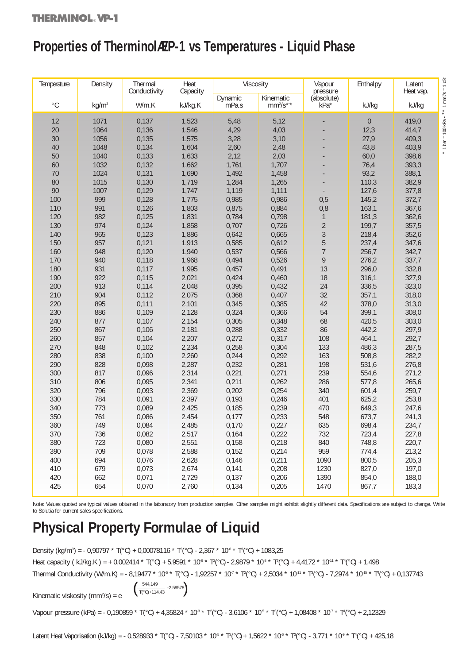# Properties of TherminolAEP-1 vs Temperatures - Liquid Phase

| Temperature | Density           | Thermal<br>Conductivity | Heat<br>Capacity | Viscosity |            | Vapour<br>pressure | Enthalpy | Latent<br>Heat vap. |
|-------------|-------------------|-------------------------|------------------|-----------|------------|--------------------|----------|---------------------|
| $^{\circ}C$ |                   | W/m.K                   |                  | Dynamic   | Kinematic  | (absolute)         |          |                     |
|             | kq/m <sup>3</sup> |                         | kJ/kg.K          | mPa.s     | $mm^2/s**$ | kPa*               | kJ/kg    | kJ/kg               |
| 12          | 1071              | 0,137                   | 1,523            | 5,48      | 5,12       |                    | $\theta$ | 419,0               |
| 20          | 1064              | 0,136                   | 1,546            | 4,29      | 4,03       |                    | 12,3     | 414,7               |
| 30          | 1056              | 0,135                   | 1,575            | 3,28      | 3,10       |                    | 27,9     | 409,3               |
| 40          | 1048              | 0,134                   | 1,604            | 2,60      | 2,48       |                    | 43,8     | 403,9               |
| 50          | 1040              | 0,133                   | 1,633            | 2,12      | 2,03       |                    | 60,0     | 398,6               |
| 60          | 1032              | 0,132                   | 1,662            | 1,761     | 1,707      |                    | 76,4     | 393,3               |
| 70          | 1024              | 0,131                   | 1,690            | 1,492     | 1,458      |                    | 93,2     | 388,1               |
| 80          | 1015              | 0,130                   | 1,719            | 1,284     | 1,265      |                    | 110,3    | 382,9               |
| 90          | 1007              | 0,129                   | 1,747            | 1,119     | 1,111      |                    | 127,6    | 377,8               |
| 100         | 999               | 0,128                   | 1,775            | 0,985     | 0,986      | 0,5                | 145,2    | 372,7               |
| 110         | 991               | 0,126                   | 1,803            | 0,875     | 0,884      | 0,8                | 163,1    | 367,6               |
| 120         | 982               | 0,125                   | 1,831            | 0,784     | 0,798      | $\mathbf{1}$       | 181,3    | 362,6               |
| 130         | 974               | 0,124                   | 1,858            | 0,707     | 0,726      | $\overline{2}$     | 199,7    | 357,5               |
| 140         | 965               | 0,123                   | 1,886            | 0,642     | 0,665      | 3                  | 218,4    | 352,6               |
| 150         | 957               | 0,121                   | 1,913            | 0,585     | 0,612      | $\overline{5}$     | 237,4    | 347,6               |
| 160         | 948               | 0,120                   | 1,940            | 0,537     | 0,566      | $\overline{7}$     | 256,7    | 342,7               |
| 170         | 940               | 0,118                   | 1,968            | 0,494     | 0,526      | 9                  | 276,2    | 337,7               |
| 180         | 931               | 0,117                   | 1,995            | 0,457     | 0,491      | 13                 | 296,0    | 332,8               |
| 190         | 922               | 0,115                   | 2,021            | 0,424     | 0,460      | 18                 | 316,1    | 327,9               |
| 200         | 913               | 0,114                   | 2,048            | 0,395     | 0,432      | 24                 | 336,5    | 323,0               |
| 210         | 904               | 0,112                   | 2,075            | 0,368     | 0,407      | 32                 | 357,1    | 318,0               |
| 220         | 895               | 0,111                   | 2,101            | 0,345     | 0,385      | 42                 | 378,0    | 313,0               |
| 230         | 886               | 0,109                   | 2,128            | 0,324     | 0,366      | 54                 | 399,1    | 308,0               |
| 240         | 877               | 0,107                   | 2,154            | 0,305     | 0,348      | 68                 | 420,5    | 303,0               |
|             |                   |                         |                  |           |            |                    |          |                     |
| 250<br>260  | 867               | 0,106                   | 2,181            | 0,288     | 0,332      | 86<br>108          | 442,2    | 297,9               |
|             | 857               | 0,104                   | 2,207            | 0,272     | 0,317      |                    | 464,1    | 292,7               |
| 270         | 848               | 0,102                   | 2,234            | 0,258     | 0,304      | 133                | 486,3    | 287,5               |
| 280         | 838               | 0,100                   | 2,260            | 0,244     | 0,292      | 163                | 508,8    | 282,2               |
| 290         | 828               | 0,098                   | 2,287            | 0,232     | 0,281      | 198                | 531,6    | 276,8               |
| 300         | 817               | 0,096                   | 2,314            | 0,221     | 0,271      | 239                | 554,6    | 271,2               |
| 310         | 806               | 0,095                   | 2,341            | 0,211     | 0,262      | 286                | 577,8    | 265,6               |
| 320         | 796               | 0,093                   | 2,369            | 0,202     | 0,254      | 340                | 601,4    | 259,7               |
| 330         | 784               | 0,091                   | 2,397            | 0,193     | 0,246      | 401                | 625,2    | 253,8               |
| 340         | 773               | 0,089                   | 2,425            | 0,185     | 0,239      | 470                | 649,3    | 247,6               |
| 350         | 761               | 0,086                   | 2,454            | 0,177     | 0,233      | 548                | 673,7    | 241,3               |
| 360         | 749               | 0,084                   | 2,485            | 0,170     | 0,227      | 635                | 698,4    | 234,7               |
| 370         | 736               | 0,082                   | 2,517            | 0,164     | 0,222      | 732                | 723,4    | 227,8               |
| 380         | 723               | 0,080                   | 2,551            | 0,158     | 0,218      | 840                | 748,8    | 220,7               |
| 390         | 709               | 0,078                   | 2,588            | 0,152     | 0,214      | 959                | 774,4    | 213,2               |
| 400         | 694               | 0,076                   | 2,628            | 0,146     | 0,211      | 1090               | 800,5    | 205,3               |
| 410         | 679               | 0,073                   | 2,674            | 0,141     | 0,208      | 1230               | 827,0    | 197,0               |
| 420         | 662               | 0,071                   | 2,729            | 0,137     | 0,206      | 1390               | 854,0    | 188,0               |
| 425         | 654               | 0,070                   | 2,760            | 0,134     | 0,205      | 1470               | 867,7    | 183,3               |

Note: Values quoted are typical values obtained in the laboratory from production samples. Other samples might exhibit slightly different data. Specifications are subject to change. Write to Solutia for current sales specifications.

# **Physical Property Formulae of Liquid**

Density (kg/m<sup>3</sup>) = - 0,90797 \* T(°C) + 0,00078116 \* T<sup>2</sup>(°C) - 2,367 \* 10<sup>6</sup> \* T<sup>3</sup>(°C) + 1083,25 Heat capacity ( kJ/kg.K ) = + 0,002414 \* T(°C) + 5,9591 \* 10<sup>4</sup> \* T<sup>2</sup>(°C) - 2,9879 \* 10<sup>8</sup> \* T3<sup>o</sup>°C) + 4,4172 \* 10<sup>-11</sup> \* T<sup>4</sup>(°C) + 1,498 Thermal Conductivity (W/m.K) = - 8,19477 \* 10<sup>s</sup> \* T(°C) - 1,92257 \* 10<sup>,</sup> \* T²(°C) + 2,5034 \* 10<sup>.11</sup> \* T¾(°C) - 7,2974 \* 10<sup>.15</sup> \* Tɬ(°C) + 0,137743 544,149

Kinematic viskosity ( $mm^2/s$ ) = e

$$
\left(\begin{array}{cc}\n544,149 \\
\hline\nT(^{\circ}C)+114,43\n\end{array}\right. - 2,59578
$$

Vapour pressure (kPa) = - 0,190859 \* T(°C) + 4,35824 \* 10<sup>3</sup> \* T<sup>2</sup>(°C) - 3,6106 \* 10<sup>5</sup> \* T<sup>3</sup>(°C) + 1,08408 \* 10<sup>7</sup> \* T<sup>4</sup>(°C) + 2,12329

Latent Heat Vaporisation (kJ/kg) = - 0,528933 \* T(°C) - 7,50103 \* 10<sup>5</sup> \* T<sup>2</sup>(°C) + 1,5622 \* 10<sup>4</sup> \* T<sup>3</sup>(°C) - 3,771 \* 10<sup>9</sup> \* T<sup>4</sup>(°C) + 425,18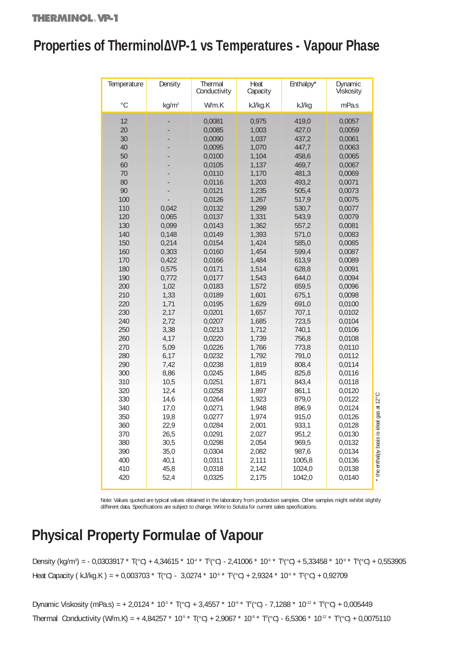# **Properties of Therminol∆ VP-1 vs Temperatures - Vapour Phase**

| Temperature  | Density           | Thermal<br>Conductivity | Heat<br>Capacity | Enthalpy* | Dynamic<br>Vískosity |                                           |
|--------------|-------------------|-------------------------|------------------|-----------|----------------------|-------------------------------------------|
| $^{\circ}$ C | kg/m <sup>3</sup> | W/m.K                   | kJ/kg.K          | kJ/kg     | mPa.s                |                                           |
|              |                   |                         |                  |           |                      |                                           |
| 12           |                   | 0,0081                  | 0,975            | 419,0     | 0,0057               |                                           |
| 20           |                   | 0,0085                  | 1,003            | 427,0     | 0,0059               |                                           |
| 30           |                   | 0,0090                  | 1,037            | 437,2     | 0,0061               |                                           |
| 40           |                   | 0,0095                  | 1,070            | 447,7     | 0,0063               |                                           |
| 50           |                   | 0,0100                  | 1,104            | 458,6     | 0,0065               |                                           |
| 60           |                   | 0,0105                  | 1,137            | 469,7     | 0,0067               |                                           |
| 70           |                   | 0,0110                  | 1,170            | 481,3     | 0,0069               |                                           |
| 80           |                   | 0,0116                  | 1,203            | 493,2     | 0,0071               |                                           |
| 90           |                   | 0,0121                  | 1,235            | 505,4     | 0,0073               |                                           |
| 100          |                   | 0,0126                  | 1,267            | 517,9     | 0,0075               |                                           |
| 110          | 0,042             | 0,0132                  | 1,299            | 530,7     | 0,0077               |                                           |
| 120          | 0,065             | 0,0137                  | 1,331            | 543,9     | 0,0079               |                                           |
| 130          | 0,099             | 0,0143                  | 1,362            | 557,2     | 0,0081               |                                           |
| 140          | 0,148             | 0,0149                  | 1,393            | 571,0     | 0,0083               |                                           |
| 150          | 0,214             | 0,0154                  | 1,424            | 585,0     | 0,0085               |                                           |
| 160          | 0,303             | 0,0160                  | 1,454            | 599,4     | 0,0087               |                                           |
| 170          | 0,422             | 0,0166                  | 1,484            | 613,9     | 0,0089               |                                           |
| 180          | 0,575             | 0,0171                  | 1,514            | 628,8     | 0,0091               |                                           |
| 190          | 0,772             | 0,0177                  | 1,543            | 644,0     | 0,0094               |                                           |
| 200          | 1,02              | 0,0183                  | 1,572            | 659,5     | 0,0096               |                                           |
| 210          | 1,33              | 0,0189                  | 1,601            | 675,1     | 0,0098               |                                           |
| 220          | 1,71              | 0,0195                  | 1,629            | 691,0     | 0,0100               |                                           |
| 230          | 2,17              | 0,0201                  | 1,657            | 707,1     | 0,0102               |                                           |
| 240          | 2,72              | 0,0207                  | 1,685            | 723,5     | 0,0104               |                                           |
| 250          | 3,38              | 0,0213                  | 1,712            | 740,1     | 0,0106               |                                           |
| 260          | 4,17              | 0,0220                  | 1,739            | 756,8     | 0,0108               |                                           |
| 270          | 5,09              | 0,0226                  | 1,766            | 773,8     | 0,0110               |                                           |
| 280          | 6,17              | 0,0232                  | 1,792            | 791,0     | 0,0112               |                                           |
| 290          | 7,42              | 0,0238                  | 1,819            | 808,4     | 0,0114               |                                           |
| 300          | 8,86              | 0,0245                  | 1,845            | 825,8     | 0,0116               |                                           |
| 310          | 10,5              | 0,0251                  | 1,871            | 843,4     | 0,0118               |                                           |
| 320          | 12,4              | 0,0258                  | 1,897            | 861,1     | 0,0120               |                                           |
| 330          | 14,6              | 0,0264                  | 1,923            | 879,0     | 0,0122               |                                           |
| 340          | 17,0              | 0,0271                  | 1,948            | 896,9     | 0,0124               |                                           |
| 350          | 19,8              | 0,0277                  | 1,974            | 915,0     | 0,0126               |                                           |
| 360          | 22,9              | 0,0284                  | 2,001            | 933,1     | 0,0128               |                                           |
| 370          | 26,5              | 0,0291                  | 2,027            | 951,2     | 0,0130               |                                           |
| 380          | 30,5              | 0,0298                  | 2,054            | 969,5     | 0,0132               |                                           |
| 390          | 35,0              | 0,0304                  | 2,082            | 987,6     | 0,0134               |                                           |
| 400          | 40,1              | 0,0311                  | 2,111            | 1005,8    | 0,0136               |                                           |
| 410          | 45,8              | 0,0318                  | 2,142            | 1024,0    | 0,0138               | * the enthalpy basis is ideal gas at 12°C |
| 420          | 52,4              | 0,0325                  | 2,175            | 1042,0    | 0,0140               |                                           |
|              |                   |                         |                  |           |                      |                                           |

Note: Values quoted are typical values obtained in the laboratory from production samples. Other samples might exhibit slightly different data. Specifications are subject to change. Write to Solutia for current sales specifications.

# **Physical Property Formulae of Vapour**

Density (kg/mª) = - 0,0303917 \* T(°C) + 4,34615 \* 10<sup>.4</sup> \* T²(°C) - 2,41006 \* 10<sup>.6</sup> \* Tª(°C) + 5,33458 \* 10<sup>.9</sup> \* T<sup>4</sup>(°C) + 0,553905 Heat Capacity ( kJ/kg.K ) = + 0,003703 \* T(°C) - 3,0274 \* 10<sup>.6</sup> \* T<sup>2</sup>(°C) + 2,9324 \* 10<sup>.9</sup> \* T<sup>3</sup>(°C) + 0,92709

Dynamic Viskosity (mPa.s) = + 2,0124 \* 10<sup>-5</sup> \* T(°C) + 3,4557 \* 10<sup>-9</sup> \* T<sup>2</sup>(°C) - 7,1288 \* 10<sup>-12</sup> \* T<sup>3</sup>(°C) + 0,005449 Thermal Conductivity (W/m.K) = + 4,84257 \* 10<sup>-5</sup> \* T(°C) + 2,9067 \* 10<sup>-8</sup> \* T<sup>2</sup>(°C) - 6,5306 \* 10<sup>-12</sup> \* T<sup>3</sup>(°C) + 0,0075110